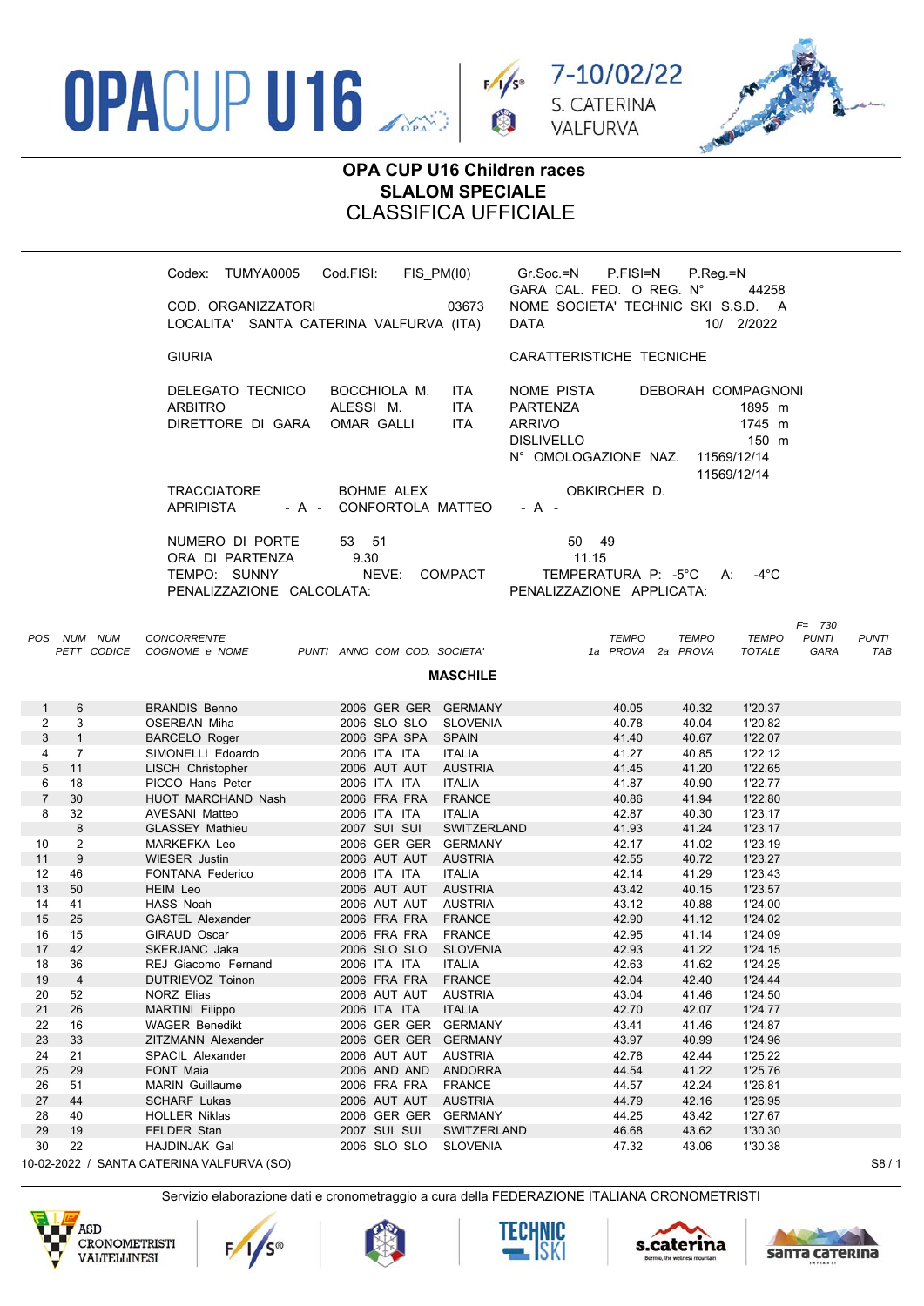





## **OPA CUP U16 Children races SLALOM SPECIALE** CLASSIFICA UFFICIALE

|                |                |             | Codex: TUMYA0005 Cod.FISI:<br>COD. ORGANIZZATORI<br>LOCALITA' SANTA CATERINA VALFURVA (ITA) |                                         | 03673<br><b>DATA</b>                                                                                    | FIS_PM(I0) Gr.Soc.=N P.FISI=N<br>GARA CAL. FED. O REG. N°<br>NOME SOCIETA' TECHNIC SKI S.S.D. A | $P_{\cdot}$ Reg $_{\cdot}$ =N<br>44258<br>10/ 2/2022                                                             |
|----------------|----------------|-------------|---------------------------------------------------------------------------------------------|-----------------------------------------|---------------------------------------------------------------------------------------------------------|-------------------------------------------------------------------------------------------------|------------------------------------------------------------------------------------------------------------------|
|                |                |             | <b>GIURIA</b>                                                                               |                                         |                                                                                                         | CARATTERISTICHE TECNICHE                                                                        |                                                                                                                  |
|                |                |             | DELEGATO TECNICO<br><b>ARBITRO</b><br>DIRETTORE DI GARA                                     | BOCCHIOLA M.<br>ALESSI M.<br>OMAR GALLI | NOME PISTA<br>ITA.<br><b>ITA</b><br><b>PARTENZA</b><br><b>ITA</b><br><b>ARRIVO</b><br><b>DISLIVELLO</b> | N° OMOLOGAZIONE NAZ.                                                                            | DEBORAH COMPAGNONI<br>1895 m<br>1745 m<br>150 m<br>11569/12/14<br>11569/12/14                                    |
|                |                |             | <b>TRACCIATORE</b><br>APRIPISTA                                                             | BOHME ALEX<br>- A - CONFORTOLA MATTEO   | - A -                                                                                                   | OBKIRCHER D.                                                                                    |                                                                                                                  |
|                |                |             | NUMERO DI PORTE<br>ORA DI PARTENZA<br>TEMPO: SUNNY<br>PENALIZZAZIONE CALCOLATA:             | 53 51<br>9.30<br>NEVE: COMPACT          |                                                                                                         | 50 49<br>11.15<br>TEMPERATURA P: -5°C A:<br>PENALIZZAZIONE APPLICATA:                           | -4 $^{\circ}$ C                                                                                                  |
|                | POS NUM NUM    | PETT CODICE | <b>CONCORRENTE</b><br>COGNOME e NOME PUNTI ANNO COM COD. SOCIETA'                           |                                         | <b>MASCHILE</b>                                                                                         | <b>TEMPO</b><br>1a PROVA 2a PROVA                                                               | $F = 730$<br><b>TEMPO</b><br><b>TEMPO</b><br><b>PUNTI</b><br><b>PUNTI</b><br><b>TOTALE</b><br><b>GARA</b><br>TAB |
| 1              | 6              |             | <b>BRANDIS Benno</b>                                                                        | 2006 GER GER GERMANY                    |                                                                                                         | 40.05                                                                                           | 40.32<br>1'20.37                                                                                                 |
| 2              | 3              |             | OSERBAN Miha                                                                                | 2006 SLO SLO SLOVENIA                   |                                                                                                         | 40.78                                                                                           | 40.04<br>1'20.82                                                                                                 |
| 3              | $\mathbf{1}$   |             | <b>BARCELO Roger</b>                                                                        | 2006 SPA SPA SPAIN                      |                                                                                                         | 41.40                                                                                           | 40.67<br>1'22.07                                                                                                 |
| 4              | $\overline{7}$ |             | SIMONELLI Edoardo                                                                           | 2006 ITA ITA                            | <b>ITALIA</b>                                                                                           | 41.27                                                                                           | 40.85<br>1'22.12                                                                                                 |
| 5              | 11             |             | LISCH Christopher                                                                           | 2006 AUT AUT AUSTRIA                    |                                                                                                         | 41.45<br>41.20                                                                                  | 1'22.65                                                                                                          |
| 6              | 18             |             | PICCO Hans Peter                                                                            | 2006 ITA ITA                            | <b>ITALIA</b>                                                                                           | 41.87                                                                                           | 40.90<br>1'22.77                                                                                                 |
| $\overline{7}$ | 30             |             | HUOT MARCHAND Nash                                                                          | 2006 FRA FRA                            | <b>FRANCE</b>                                                                                           | 40.86<br>41.94                                                                                  | 1'22.80                                                                                                          |
| 8              | 32             |             | AVESANI Matteo                                                                              | 2006 ITA ITA                            | <b>ITALIA</b>                                                                                           | 42.87<br>40.30                                                                                  | 1'23.17                                                                                                          |
|                | 8              |             | <b>GLASSEY Mathieu</b>                                                                      | 2007 SUI SUI                            | SWITZERLAND                                                                                             | 41.24<br>41.93                                                                                  | 1'23.17                                                                                                          |
| 10             | $\overline{2}$ |             | MARKEFKA Leo                                                                                | 2006 GER GER GERMANY                    |                                                                                                         | 42.17<br>41.02                                                                                  | 1'23.19                                                                                                          |
| 11             | 9              |             | <b>WIESER Justin</b>                                                                        | 2006 AUT AUT AUSTRIA                    |                                                                                                         | 42.55                                                                                           | 40.72<br>1'23.27                                                                                                 |
| 12             | 46             |             | <b>FONTANA Federico</b>                                                                     | 2006 ITA ITA                            | <b>ITALIA</b>                                                                                           | 42.14<br>41.29                                                                                  | 1'23.43                                                                                                          |
| 13             | 50             |             | HEIM Leo                                                                                    | 2006 AUT AUT AUSTRIA                    |                                                                                                         | 43.42<br>40.15                                                                                  | 1'23.57                                                                                                          |
| 14             | 41             |             | HASS Noah                                                                                   | 2006 AUT AUT AUSTRIA<br>2006 FRA FRA    | <b>FRANCE</b>                                                                                           | 43.12                                                                                           | 40.88<br>1'24.00                                                                                                 |
| 15<br>16       | 25<br>15       |             | <b>GASTEL Alexander</b><br>GIRAUD Oscar                                                     | 2006 FRA FRA                            | <b>FRANCE</b>                                                                                           | 42.90<br>42.95                                                                                  | 41.12<br>1'24.02<br>41.14<br>1'24.09                                                                             |
| 17             | 42             |             | SKERJANC Jaka                                                                               | 2006 SLO SLO                            | <b>SLOVENIA</b>                                                                                         | 42.93                                                                                           | 41.22<br>1'24.15                                                                                                 |
| 18             | 36             |             | REJ Giacomo Fernand                                                                         | 2006 ITA ITA                            | <b>ITALIA</b>                                                                                           | 42.63                                                                                           | 41.62<br>1'24.25                                                                                                 |
| 19             | $\overline{4}$ |             | DUTRIEVOZ Toinon                                                                            | 2006 FRA FRA                            | <b>FRANCE</b>                                                                                           | 42.04                                                                                           | 1'24.44<br>42.40                                                                                                 |
| 20             | 52             |             | NORZ Elias                                                                                  | 2006 AUT AUT                            | <b>AUSTRIA</b>                                                                                          | 43.04                                                                                           | 41.46<br>1'24.50                                                                                                 |
| 21             | 26             |             | MARTINI Filippo                                                                             | 2006 ITA ITA                            | <b>ITALIA</b>                                                                                           | 42.70<br>42.07                                                                                  | 1'24.77                                                                                                          |
| 22             | 16             |             | <b>WAGER Benedikt</b>                                                                       | 2006 GER GER GERMANY                    |                                                                                                         | 43.41                                                                                           | 41.46<br>1'24.87                                                                                                 |
| 23             | 33             |             | ZITZMANN Alexander                                                                          | 2006 GER GER GERMANY                    |                                                                                                         | 43.97<br>40.99                                                                                  | 1'24.96                                                                                                          |
| 24             | 21             |             | <b>SPACIL Alexander</b>                                                                     | 2006 AUT AUT                            | <b>AUSTRIA</b>                                                                                          | 42.78                                                                                           | 42.44<br>1'25.22                                                                                                 |
| 25             | 29             |             | FONT Maia                                                                                   | 2006 AND AND                            | ANDORRA                                                                                                 | 44.54                                                                                           | 41.22<br>1'25.76                                                                                                 |
| 26             | 51             |             | <b>MARIN</b> Guillaume                                                                      | 2006 FRA FRA                            | <b>FRANCE</b>                                                                                           | 44.57                                                                                           | 42.24<br>1'26.81                                                                                                 |
| 27             | 44             |             | <b>SCHARF Lukas</b>                                                                         | 2006 AUT AUT                            | <b>AUSTRIA</b>                                                                                          | 44.79                                                                                           | 42.16<br>1'26.95                                                                                                 |
| 28             | 40             |             | <b>HOLLER Niklas</b>                                                                        | 2006 GER GER GERMANY                    |                                                                                                         | 44.25                                                                                           | 43.42<br>1'27.67                                                                                                 |
| 29<br>30       | 19<br>22       |             | FELDER Stan<br>HAJDINJAK Gal                                                                | 2007 SUI SUI<br>2006 SLO SLO            | SWITZERLAND<br><b>SLOVENIA</b>                                                                          | 46.68<br>47.32                                                                                  | 43.62<br>1'30.30<br>43.06<br>1'30.38                                                                             |
|                |                |             | $(0.02.2022, 0.0001)$ CANTA CATERINA VALEURVA (SO)                                          |                                         |                                                                                                         |                                                                                                 | QQ/1                                                                                                             |

22 / SANTA CATERINA VALFURVA (SO)











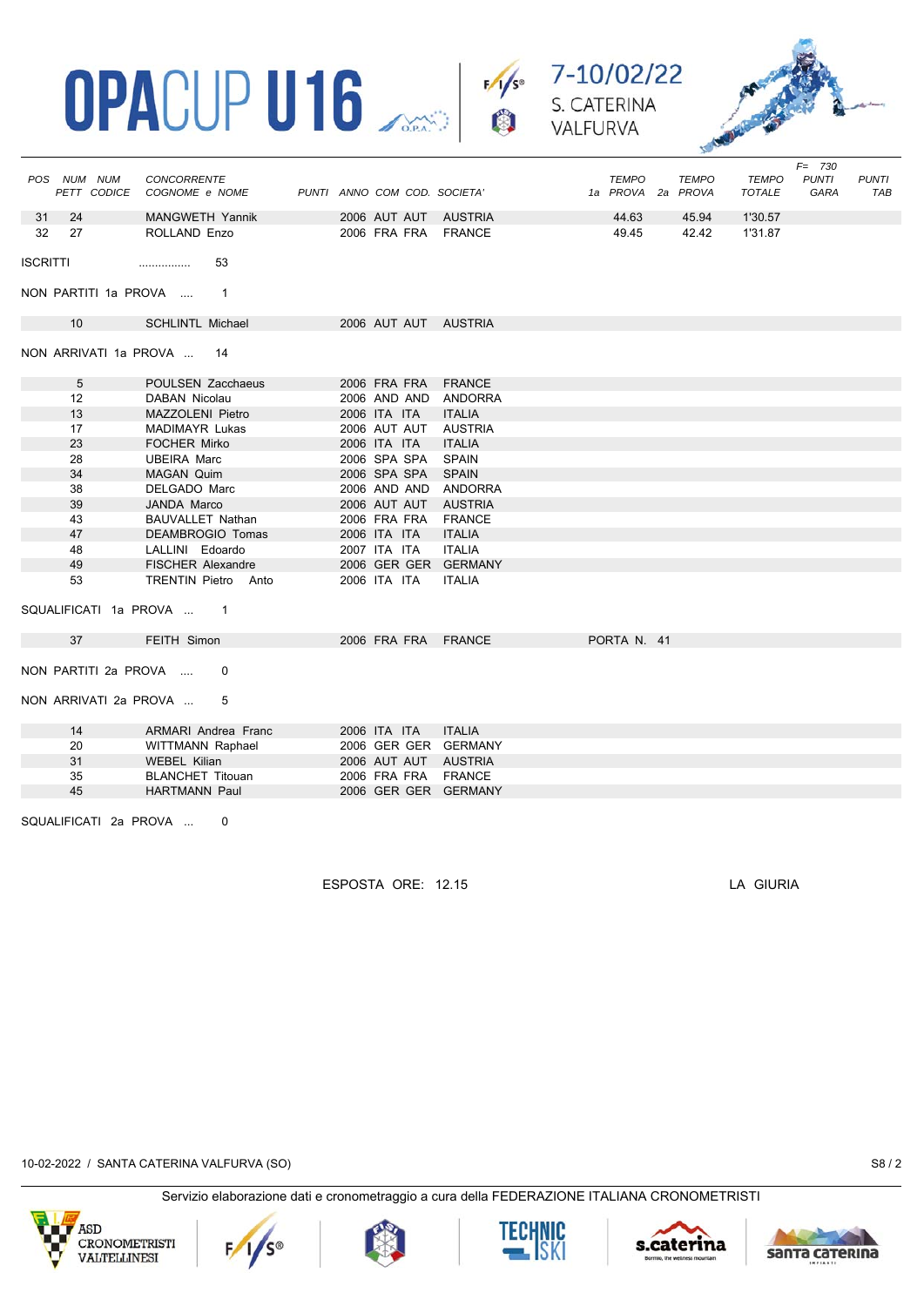





|                           | POS NUM NUM<br>PETT CODICE | <b>CONCORRENTE</b><br>COGNOME e NOME |  |  |              | PUNTI ANNO COM COD. SOCIETA' |  |  | <b>TEMPO</b><br>1a PROVA 2a PROVA |  | <b>TEMPO</b> | <b>TEMPO</b><br><b>TOTALE</b> | <b>PUNTI</b><br>GARA | <b>PUNTI</b><br><b>TAB</b> |
|---------------------------|----------------------------|--------------------------------------|--|--|--------------|------------------------------|--|--|-----------------------------------|--|--------------|-------------------------------|----------------------|----------------------------|
| 31                        | 24                         | MANGWETH Yannik                      |  |  |              | 2006 AUT AUT AUSTRIA         |  |  | 44.63                             |  | 45.94        | 1'30.57                       |                      |                            |
| 32                        | 27                         | ROLLAND Enzo                         |  |  | 2006 FRA FRA | FRANCE                       |  |  | 49.45                             |  | 42.42        | 1'31.87                       |                      |                            |
| <b>ISCRITTI</b>           |                            | 53<br>                               |  |  |              |                              |  |  |                                   |  |              |                               |                      |                            |
|                           | NON PARTITI 1a PROVA       | $\overline{\phantom{1}}$             |  |  |              |                              |  |  |                                   |  |              |                               |                      |                            |
|                           | 10                         | <b>SCHLINTL Michael</b>              |  |  |              | 2006 AUT AUT AUSTRIA         |  |  |                                   |  |              |                               |                      |                            |
| NON ARRIVATI 1a PROVA  14 |                            |                                      |  |  |              |                              |  |  |                                   |  |              |                               |                      |                            |
|                           | 5                          | <b>POULSEN Zacchaeus</b>             |  |  | 2006 FRA FRA | <b>FRANCE</b>                |  |  |                                   |  |              |                               |                      |                            |
|                           | 12                         | DABAN Nicolau                        |  |  | 2006 AND AND | <b>ANDORRA</b>               |  |  |                                   |  |              |                               |                      |                            |
|                           | 13                         | MAZZOLENI Pietro                     |  |  | 2006 ITA ITA | <b>ITALIA</b>                |  |  |                                   |  |              |                               |                      |                            |
|                           | 17                         | <b>MADIMAYR Lukas</b>                |  |  | 2006 AUT AUT | <b>AUSTRIA</b>               |  |  |                                   |  |              |                               |                      |                            |
|                           | 23                         | <b>FOCHER Mirko</b>                  |  |  | 2006 ITA ITA | <b>ITALIA</b>                |  |  |                                   |  |              |                               |                      |                            |
|                           | 28                         | <b>UBEIRA Marc</b>                   |  |  | 2006 SPA SPA | <b>SPAIN</b>                 |  |  |                                   |  |              |                               |                      |                            |
|                           | 34                         | <b>MAGAN Quim</b>                    |  |  | 2006 SPA SPA | <b>SPAIN</b>                 |  |  |                                   |  |              |                               |                      |                            |
|                           | 38                         | DELGADO Marc                         |  |  | 2006 AND AND | <b>ANDORRA</b>               |  |  |                                   |  |              |                               |                      |                            |
|                           | 39                         | <b>JANDA Marco</b>                   |  |  | 2006 AUT AUT | <b>AUSTRIA</b>               |  |  |                                   |  |              |                               |                      |                            |
|                           | 43                         | <b>BAUVALLET Nathan</b>              |  |  | 2006 FRA FRA | <b>FRANCE</b>                |  |  |                                   |  |              |                               |                      |                            |
|                           | 47                         | <b>DEAMBROGIO Tomas</b>              |  |  | 2006 ITA ITA | <b>ITALIA</b>                |  |  |                                   |  |              |                               |                      |                            |
|                           | 48                         | LALLINI Edoardo                      |  |  | 2007 ITA ITA | <b>ITALIA</b>                |  |  |                                   |  |              |                               |                      |                            |
|                           | 49                         | <b>FISCHER Alexandre</b>             |  |  |              | 2006 GER GER GERMANY         |  |  |                                   |  |              |                               |                      |                            |
|                           | 53                         | <b>TRENTIN Pietro Anto</b>           |  |  | 2006 ITA ITA | <b>ITALIA</b>                |  |  |                                   |  |              |                               |                      |                            |
| SQUALIFICATI 1a PROVA  1  |                            |                                      |  |  |              |                              |  |  |                                   |  |              |                               |                      |                            |
|                           | 37                         | FEITH Simon                          |  |  |              | 2006 FRA FRA FRANCE          |  |  | PORTA N. 41                       |  |              |                               |                      |                            |
| NON PARTITI 2a PROVA<br>0 |                            |                                      |  |  |              |                              |  |  |                                   |  |              |                               |                      |                            |
|                           | NON ARRIVATI 2a PROVA      | 5                                    |  |  |              |                              |  |  |                                   |  |              |                               |                      |                            |
|                           | 14                         | ARMARI Andrea Franc                  |  |  | 2006 ITA ITA | <b>ITALIA</b>                |  |  |                                   |  |              |                               |                      |                            |
|                           | 20                         | WITTMANN Raphael                     |  |  |              | 2006 GER GER GERMANY         |  |  |                                   |  |              |                               |                      |                            |
|                           | 31                         | <b>WEBEL Kilian</b>                  |  |  |              | 2006 AUT AUT AUSTRIA         |  |  |                                   |  |              |                               |                      |                            |
|                           | 35                         | <b>BLANCHET Titouan</b>              |  |  |              | 2006 FRA FRA FRANCE          |  |  |                                   |  |              |                               |                      |                            |
|                           | 45                         | <b>HARTMANN Paul</b>                 |  |  |              | 2006 GER GER GERMANY         |  |  |                                   |  |              |                               |                      |                            |
|                           | SQUALIFICATI 2a PROVA<br>0 |                                      |  |  |              |                              |  |  |                                   |  |              |                               |                      |                            |

ESPOSTA ORE: 12.15 LA GIURIA

10-02-2022 / SANTA CATERINA VALFURVA (SO) S8 / 2











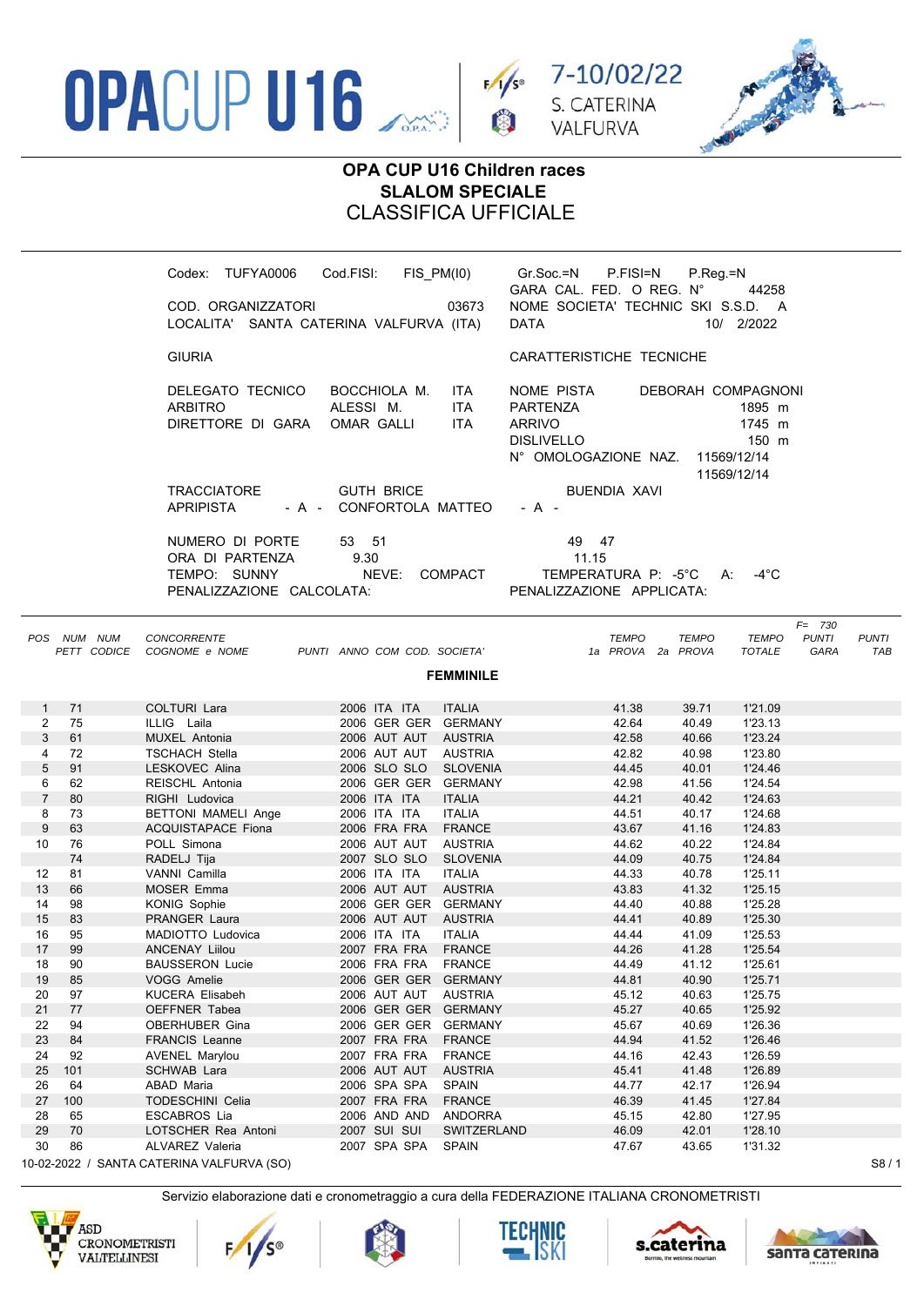





## **OPA CUP U16 Children races SLALOM SPECIALE** CLASSIFICA UFFICIALE

|                |             | Codex: TUFYA0006<br>COD. ORGANIZZATORI                                          | Cod.FISI:<br>03673<br>LOCALITA' SANTA CATERINA VALFURVA (ITA)              | FIS_PM(I0) Gr.Soc.=N P.FISI=N<br>P.Reg.=N<br>GARA CAL. FED. O REG. N°<br>44258<br>NOME SOCIETA' TECHNIC SKI S.S.D. A<br><b>DATA</b><br>10/ 2/2022                  |  |
|----------------|-------------|---------------------------------------------------------------------------------|----------------------------------------------------------------------------|--------------------------------------------------------------------------------------------------------------------------------------------------------------------|--|
|                |             | <b>GIURIA</b>                                                                   |                                                                            | CARATTERISTICHE TECNICHE                                                                                                                                           |  |
|                |             | DELEGATO TECNICO<br><b>ARBITRO</b><br>DIRETTORE DI GARA                         | BOCCHIOLA M.<br>ITA<br>ALESSI M.<br><b>ITA</b><br>OMAR GALLI<br><b>ITA</b> | NOME PISTA<br>DEBORAH COMPAGNONI<br>PARTENZA<br>1895 m<br><b>ARRIVO</b><br>1745 m<br><b>DISLIVELLO</b><br>150 m<br>N° OMOLOGAZIONE NAZ. 11569/12/14<br>11569/12/14 |  |
|                |             | TRACCIATORE<br><b>APRIPISTA</b>                                                 | <b>GUTH BRICE</b><br>- A - CONFORTOLA MATTEO                               | BUENDIA XAVI<br>- A -                                                                                                                                              |  |
|                |             | NUMERO DI PORTE<br>ORA DI PARTENZA<br>TEMPO: SUNNY<br>PENALIZZAZIONE CALCOLATA: | 53 51<br>9.30<br>NEVE:<br>COMPACT                                          | 49 47<br>11.15<br>TEMPERATURA P: -5°C A:<br>-4 $^{\circ}$ C<br>PENALIZZAZIONE APPLICATA:                                                                           |  |
|                | POS NUM NUM | <b>CONCORRENTE</b><br>PETT CODICE COGNOME e NOME                                | PUNTI ANNO COM COD. SOCIETA'                                               | $F = 730$<br><b>PUNTI</b><br><b>PUNTI</b><br><b>TEMPO</b><br><b>TEMPO</b><br><b>TEMPO</b><br>1a PROVA 2a PROVA<br><b>TOTALE</b><br><b>GARA</b><br>TAB              |  |
|                |             |                                                                                 | <b>FEMMINILE</b>                                                           |                                                                                                                                                                    |  |
| $\mathbf{1}$   | 71          | COLTURI Lara                                                                    | <b>ITALIA</b><br>2006 ITA ITA                                              | 41.38<br>1'21.09<br>39.71                                                                                                                                          |  |
| 2              | 75          | ILLIG Laila                                                                     | 2006 GER GER GERMANY                                                       | 42.64<br>40.49<br>1'23.13                                                                                                                                          |  |
| 3              | 61          | MUXEL Antonia                                                                   | 2006 AUT AUT AUSTRIA                                                       | 42.58<br>1'23.24<br>40.66                                                                                                                                          |  |
| 4              | 72          | <b>TSCHACH Stella</b>                                                           | 2006 AUT AUT AUSTRIA                                                       | 42.82<br>40.98<br>1'23.80                                                                                                                                          |  |
| 5              | 91          | LESKOVEC Alina                                                                  | 2006 SLO SLO<br><b>SLOVENIA</b>                                            | 44.45<br>40.01<br>1'24.46                                                                                                                                          |  |
| 6              | 62          | REISCHL Antonia                                                                 | 2006 GER GER GERMANY                                                       | 42.98<br>41.56<br>1'24.54                                                                                                                                          |  |
| $\overline{7}$ | 80          | RIGHI Ludovica                                                                  | 2006 ITA ITA<br><b>ITALIA</b>                                              | 44.21<br>40.42<br>1'24.63                                                                                                                                          |  |
| 8              | 73          | <b>BETTONI MAMELI Ange</b>                                                      | 2006 ITA ITA<br><b>ITALIA</b>                                              | 44.51<br>40.17<br>1'24.68                                                                                                                                          |  |
| 9              | 63          | <b>ACQUISTAPACE Fiona</b>                                                       | 2006 FRA FRA<br><b>FRANCE</b>                                              | 43.67<br>41.16<br>1'24.83                                                                                                                                          |  |
| 10             | 76          | POLL Simona                                                                     | 2006 AUT AUT<br><b>AUSTRIA</b>                                             | 44.62<br>40.22<br>1'24.84                                                                                                                                          |  |
|                | 74          | RADELJ Tija                                                                     | 2007 SLO SLO<br><b>SLOVENIA</b>                                            | 44.09<br>40.75<br>1'24.84                                                                                                                                          |  |
| 12<br>13       | 81<br>66    | VANNI Camilla<br><b>MOSER Emma</b>                                              | 2006 ITA ITA<br><b>ITALIA</b><br>2006 AUT AUT AUSTRIA                      | 44.33<br>40.78<br>1'25.11<br>43.83<br>41.32<br>1'25.15                                                                                                             |  |
| 14             | 98          | KONIG Sophie                                                                    | 2006 GER GER GERMANY                                                       | 44.40<br>40.88<br>1'25.28                                                                                                                                          |  |
| 15             | 83          | <b>PRANGER Laura</b>                                                            | 2006 AUT AUT AUSTRIA                                                       | 44.41<br>40.89<br>1'25.30                                                                                                                                          |  |
| 16             | 95          | MADIOTTO Ludovica                                                               | 2006 ITA ITA<br><b>ITALIA</b>                                              | 1'25.53<br>44.44<br>41.09                                                                                                                                          |  |
| 17             | 99          | <b>ANCENAY Liilou</b>                                                           | 2007 FRA FRA FRANCE                                                        | 44.26<br>41.28<br>1'25.54                                                                                                                                          |  |
| 18             | 90          | <b>BAUSSERON Lucie</b>                                                          | 2006 FRA FRA<br><b>FRANCE</b>                                              | 1'25.61<br>44.49<br>41.12                                                                                                                                          |  |
| 19             | 85          | VOGG Amelie                                                                     | 2006 GER GER GERMANY                                                       | 44.81<br>40.90<br>1'25.71                                                                                                                                          |  |
| 20             | 97          | KUCERA Elisabeh                                                                 | 2006 AUT AUT<br><b>AUSTRIA</b>                                             | 45.12<br>40.63<br>1'25.75                                                                                                                                          |  |
| 21             | 77          | OEFFNER Tabea                                                                   | 2006 GER GER GERMANY                                                       | 45.27<br>40.65<br>1'25.92                                                                                                                                          |  |
| 22             | 94          | OBERHUBER Gina                                                                  | 2006 GER GER GERMANY                                                       | 45.67<br>40.69<br>1'26.36                                                                                                                                          |  |
| 23             | 84          | <b>FRANCIS Leanne</b>                                                           | 2007 FRA FRA<br><b>FRANCE</b>                                              | 44.94<br>41.52<br>1'26.46                                                                                                                                          |  |
| 24             | 92          | <b>AVENEL Marylou</b>                                                           | 2007 FRA FRA<br><b>FRANCE</b>                                              | 44.16<br>42.43<br>1'26.59                                                                                                                                          |  |
| 25             | 101         | SCHWAB Lara                                                                     | 2006 AUT AUT<br><b>AUSTRIA</b>                                             | 45.41<br>41.48<br>1'26.89                                                                                                                                          |  |
| 26             | 64          | ABAD Maria                                                                      | 2006 SPA SPA<br><b>SPAIN</b>                                               | 44.77<br>42.17<br>1'26.94                                                                                                                                          |  |
| 27             | 100         | TODESCHINI Celia                                                                | 2007 FRA FRA<br><b>FRANCE</b>                                              | 46.39<br>41.45<br>1'27.84                                                                                                                                          |  |
| 28             | 65          | <b>ESCABROS Lia</b>                                                             | 2006 AND AND<br>ANDORRA                                                    | 45.15<br>42.80<br>1'27.95                                                                                                                                          |  |
| 29             | 70          | LOTSCHER Rea Antoni                                                             | 2007 SUI SUI<br>SWITZERLAND                                                | 46.09<br>42.01<br>1'28.10                                                                                                                                          |  |
| 30             | 86          | <b>ALVAREZ Valeria</b><br>0022022 / SANTA CATERINA VALEURVA (SO)                | 2007 SPA SPA<br>SPAIN                                                      | 47.67<br>43.65<br>1'31.32<br>SRI1                                                                                                                                  |  |
|                |             |                                                                                 |                                                                            |                                                                                                                                                                    |  |

10-02-2022 / SANTA CATERINA VALFURVA (SO)